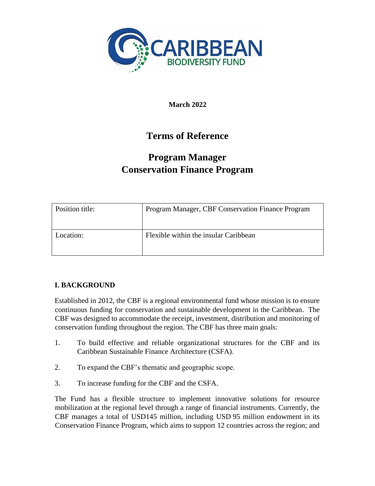

**March 2022**

# **Terms of Reference**

# **Program Manager Conservation Finance Program**

| Position title: | Program Manager, CBF Conservation Finance Program |
|-----------------|---------------------------------------------------|
| Location:       | Flexible within the insular Caribbean             |

# **I. BACKGROUND**

Established in 2012, the CBF is a regional environmental fund whose mission is to ensure continuous funding for conservation and sustainable development in the Caribbean. The CBF was designed to accommodate the receipt, investment, distribution and monitoring of conservation funding throughout the region. The CBF has three main goals:

- 1. To build effective and reliable organizational structures for the CBF and its Caribbean Sustainable Finance Architecture (CSFA).
- 2. To expand the CBF's thematic and geographic scope.
- 3. To increase funding for the CBF and the CSFA.

The Fund has a flexible structure to implement innovative solutions for resource mobilization at the regional level through a range of financial instruments. Currently, the CBF manages a total of USD145 million, including USD 95 million endowment in its Conservation Finance Program, which aims to support 12 countries across the region; and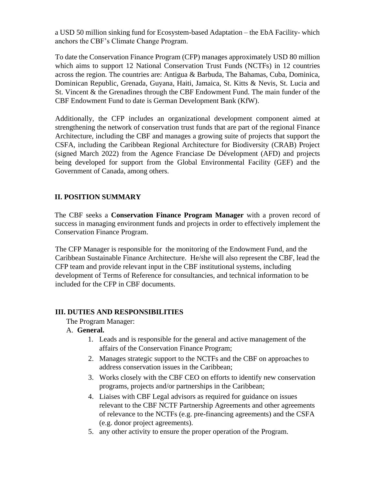a USD 50 million sinking fund for Ecosystem-based Adaptation – the EbA Facility- which anchors the CBF's Climate Change Program.

To date the Conservation Finance Program (CFP) manages approximately USD 80 million which aims to support 12 National Conservation Trust Funds (NCTFs) in 12 countries across the region. The countries are: Antigua & Barbuda, The Bahamas, Cuba, Dominica, Dominican Republic, Grenada, Guyana, Haiti, Jamaica, St. Kitts & Nevis, St. Lucia and St. Vincent & the Grenadines through the CBF Endowment Fund. The main funder of the CBF Endowment Fund to date is German Development Bank (KfW).

Additionally, the CFP includes an organizational development component aimed at strengthening the network of conservation trust funds that are part of the regional Finance Architecture, including the CBF and manages a growing suite of projects that support the CSFA, including the Caribbean Regional Architecture for Biodiversity (CRAB) Project (signed March 2022) from the Agence Franciase De Dévelopment (AFD) and projects being developed for support from the Global Environmental Facility (GEF) and the Government of Canada, among others.

# **II. POSITION SUMMARY**

The CBF seeks a **Conservation Finance Program Manager** with a proven record of success in managing environment funds and projects in order to effectively implement the Conservation Finance Program.

The CFP Manager is responsible for the monitoring of the Endowment Fund, and the Caribbean Sustainable Finance Architecture. He/she will also represent the CBF, lead the CFP team and provide relevant input in the CBF institutional systems, including development of Terms of Reference for consultancies, and technical information to be included for the CFP in CBF documents.

### **III. DUTIES AND RESPONSIBILITIES**

The Program Manager:

### A. **General.**

- 1. Leads and is responsible for the general and active management of the affairs of the Conservation Finance Program;
- 2. Manages strategic support to the NCTFs and the CBF on approaches to address conservation issues in the Caribbean;
- 3. Works closely with the CBF CEO on efforts to identify new conservation programs, projects and/or partnerships in the Caribbean;
- 4. Liaises with CBF Legal advisors as required for guidance on issues relevant to the CBF NCTF Partnership Agreements and other agreements of relevance to the NCTFs (e.g. pre-financing agreements) and the CSFA (e.g. donor project agreements).
- 5. any other activity to ensure the proper operation of the Program.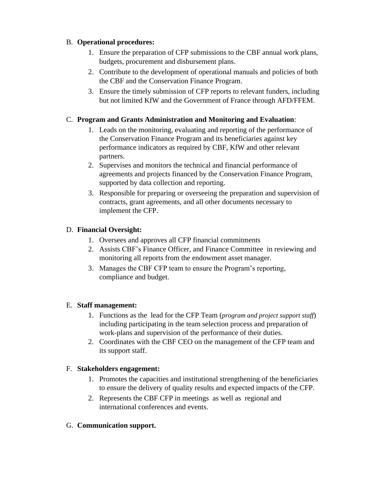# B. **Operational procedures:**

- 1. Ensure the preparation of CFP submissions to the CBF annual work plans, budgets, procurement and disbursement plans.
- 2. Contribute to the development of operational manuals and policies of both the CBF and the Conservation Finance Program.
- 3. Ensure the timely submission of CFP reports to relevant funders, including but not limited KfW and the Government of France through AFD/FFEM.

# C. **Program and Grants Administration and Monitoring and Evaluation**:

- 1. Leads on the monitoring, evaluating and reporting of the performance of the Conservation Finance Program and its beneficiaries against key performance indicators as required by CBF, KfW and other relevant partners.
- 2. Supervises and monitors the technical and financial performance of agreements and projects financed by the Conservation Finance Program, supported by data collection and reporting.
- 3. Responsible for preparing or overseeing the preparation and supervision of contracts, grant agreements, and all other documents necessary to implement the CFP.

# D. **Financial Oversight:**

- 1. Oversees and approves all CFP financial commitments
- 2. Assists CBF's Finance Officer, and Finance Committee in reviewing and monitoring all reports from the endowment asset manager.
- 3. Manages the CBF CFP team to ensure the Program's reporting, compliance and budget.

### E. **Staff management:**

- 1. Functions as the lead for the CFP Team (*program and project support staff*) including participating in the team selection process and preparation of work-plans and supervision of the performance of their duties.
- 2. Coordinates with the CBF CEO on the management of the CFP team and its support staff.

### F. **Stakeholders engagement:**

- 1. Promotes the capacities and institutional strengthening of the beneficiaries to ensure the delivery of quality results and expected impacts of the CFP.
- 2. Represents the CBF CFP in meetings as well as regional and international conferences and events.

### G. **Communication support.**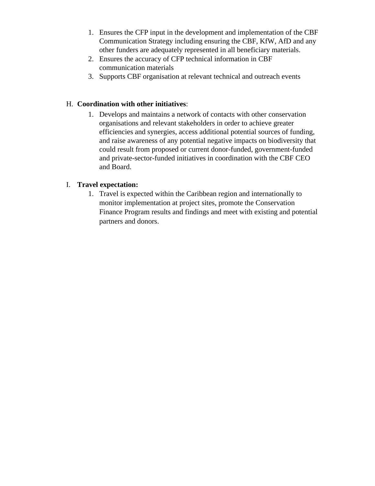- 1. Ensures the CFP input in the development and implementation of the CBF Communication Strategy including ensuring the CBF, KfW, AfD and any other funders are adequately represented in all beneficiary materials.
- 2. Ensures the accuracy of CFP technical information in CBF communication materials
- 3. Supports CBF organisation at relevant technical and outreach events

# H. **Coordination with other initiatives**:

1. Develops and maintains a network of contacts with other conservation organisations and relevant stakeholders in order to achieve greater efficiencies and synergies, access additional potential sources of funding, and raise awareness of any potential negative impacts on biodiversity that could result from proposed or current donor-funded, government-funded and private-sector-funded initiatives in coordination with the CBF CEO and Board.

# I. **Travel expectation:**

1. Travel is expected within the Caribbean region and internationally to monitor implementation at project sites, promote the Conservation Finance Program results and findings and meet with existing and potential partners and donors.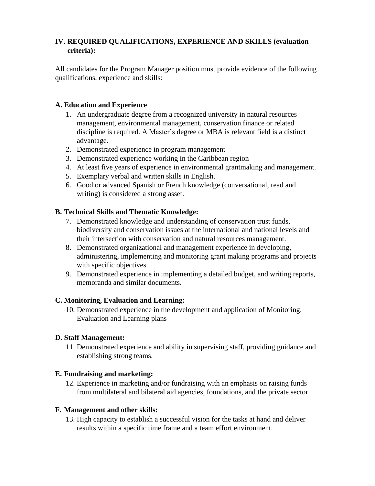# **IV. REQUIRED QUALIFICATIONS, EXPERIENCE AND SKILLS (evaluation criteria):**

All candidates for the Program Manager position must provide evidence of the following qualifications, experience and skills:

### **A. Education and Experience**

- 1. An undergraduate degree from a recognized university in natural resources management, environmental management, conservation finance or related discipline is required. A Master's degree or MBA is relevant field is a distinct advantage.
- 2. Demonstrated experience in program management
- 3. Demonstrated experience working in the Caribbean region
- 4. At least five years of experience in environmental grantmaking and management.
- 5. Exemplary verbal and written skills in English.
- 6. Good or advanced Spanish or French knowledge (conversational, read and writing) is considered a strong asset.

# **B. Technical Skills and Thematic Knowledge:**

- 7. Demonstrated knowledge and understanding of conservation trust funds, biodiversity and conservation issues at the international and national levels and their intersection with conservation and natural resources management.
- 8. Demonstrated organizational and management experience in developing, administering, implementing and monitoring grant making programs and projects with specific objectives.
- 9. Demonstrated experience in implementing a detailed budget, and writing reports, memoranda and similar documents.

### **C. Monitoring, Evaluation and Learning:**

10. Demonstrated experience in the development and application of Monitoring, Evaluation and Learning plans

### **D. Staff Management:**

11. Demonstrated experience and ability in supervising staff, providing guidance and establishing strong teams.

# **E. Fundraising and marketing:**

12. Experience in marketing and/or fundraising with an emphasis on raising funds from multilateral and bilateral aid agencies, foundations, and the private sector.

### **F. Management and other skills:**

13. High capacity to establish a successful vision for the tasks at hand and deliver results within a specific time frame and a team effort environment.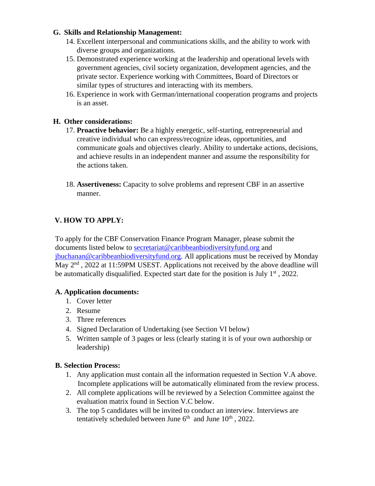### **G. Skills and Relationship Management:**

- 14. Excellent interpersonal and communications skills, and the ability to work with diverse groups and organizations.
- 15. Demonstrated experience working at the leadership and operational levels with government agencies, civil society organization, development agencies, and the private sector. Experience working with Committees, Board of Directors or similar types of structures and interacting with its members.
- 16. Experience in work with German/international cooperation programs and projects is an asset.

# **H. Other considerations:**

- 17. **Proactive behavior:** Be a highly energetic, self-starting, entrepreneurial and creative individual who can express/recognize ideas, opportunities, and communicate goals and objectives clearly. Ability to undertake actions, decisions, and achieve results in an independent manner and assume the responsibility for the actions taken.
- 18. **Assertiveness:** Capacity to solve problems and represent CBF in an assertive manner.

# **V. HOW TO APPLY:**

To apply for the CBF Conservation Finance Program Manager, please submit the documents listed below to secretariat@caribbeanbiodiversityfund.org and jbuchanan@caribbeanbiodiversityfund.org. All applications must be received by Monday May 2<sup>nd</sup>, 2022 at 11:59PM USEST. Applications not received by the above deadline will be automatically disqualified. Expected start date for the position is July  $1<sup>st</sup>$ , 2022.

### **A. Application documents:**

- 1. Cover letter
- 2. Resume
- 3. Three references
- 4. Signed Declaration of Undertaking (see Section VI below)
- 5. Written sample of 3 pages or less (clearly stating it is of your own authorship or leadership)

### **B. Selection Process:**

- 1. Any application must contain all the information requested in Section V.A above. Incomplete applications will be automatically eliminated from the review process.
- 2. All complete applications will be reviewed by a Selection Committee against the evaluation matrix found in Section V.C below.
- 3. The top 5 candidates will be invited to conduct an interview. Interviews are tentatively scheduled between June  $6<sup>th</sup>$  and June  $10<sup>th</sup>$ , 2022.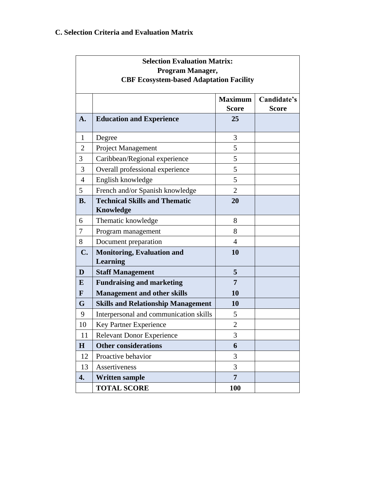# **C. Selection Criteria and Evaluation Matrix**

| <b>Selection Evaluation Matrix:</b><br>Program Manager,<br><b>CBF Ecosystem-based Adaptation Facility</b> |                                                      |                                |                             |
|-----------------------------------------------------------------------------------------------------------|------------------------------------------------------|--------------------------------|-----------------------------|
|                                                                                                           |                                                      | <b>Maximum</b><br><b>Score</b> | Candidate's<br><b>Score</b> |
| A.                                                                                                        | <b>Education and Experience</b>                      | 25                             |                             |
| $\mathbf{1}$                                                                                              | Degree                                               | 3                              |                             |
| $\overline{2}$                                                                                            | Project Management                                   | 5                              |                             |
| 3                                                                                                         | Caribbean/Regional experience                        | 5                              |                             |
| 3                                                                                                         | Overall professional experience                      | 5                              |                             |
| $\overline{4}$                                                                                            | English knowledge                                    | 5                              |                             |
| 5                                                                                                         | French and/or Spanish knowledge                      | $\overline{2}$                 |                             |
| <b>B.</b>                                                                                                 | <b>Technical Skills and Thematic</b>                 | 20                             |                             |
|                                                                                                           | <b>Knowledge</b>                                     |                                |                             |
| 6                                                                                                         | Thematic knowledge                                   | 8                              |                             |
| 7                                                                                                         | Program management                                   | 8                              |                             |
| 8                                                                                                         | Document preparation                                 | $\overline{4}$                 |                             |
| C.                                                                                                        | <b>Monitoring, Evaluation and</b><br><b>Learning</b> | 10                             |                             |
| D                                                                                                         | <b>Staff Management</b>                              | 5                              |                             |
| E                                                                                                         | <b>Fundraising and marketing</b>                     | 7                              |                             |
| F                                                                                                         | <b>Management and other skills</b>                   | 10                             |                             |
| G                                                                                                         | <b>Skills and Relationship Management</b>            | 10                             |                             |
| 9                                                                                                         | Interpersonal and communication skills               | 5                              |                             |
| 10                                                                                                        | Key Partner Experience                               | $\overline{2}$                 |                             |
| 11                                                                                                        | <b>Relevant Donor Experience</b>                     | 3                              |                             |
| H                                                                                                         | <b>Other considerations</b>                          | 6                              |                             |
| 12                                                                                                        | Proactive behavior                                   | 3                              |                             |
| 13                                                                                                        | Assertiveness                                        | 3                              |                             |
| 4.                                                                                                        | <b>Written sample</b>                                | $\overline{7}$                 |                             |
|                                                                                                           | <b>TOTAL SCORE</b>                                   | 100                            |                             |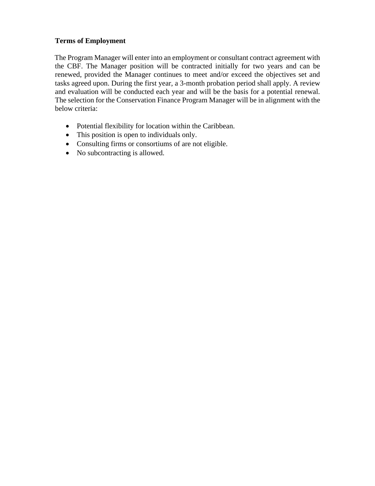### **Terms of Employment**

The Program Manager will enter into an employment or consultant contract agreement with the CBF. The Manager position will be contracted initially for two years and can be renewed, provided the Manager continues to meet and/or exceed the objectives set and tasks agreed upon. During the first year, a 3-month probation period shall apply. A review and evaluation will be conducted each year and will be the basis for a potential renewal. The selection for the Conservation Finance Program Manager will be in alignment with the below criteria:

- Potential flexibility for location within the Caribbean.
- This position is open to individuals only.
- Consulting firms or consortiums of are not eligible.
- No subcontracting is allowed.